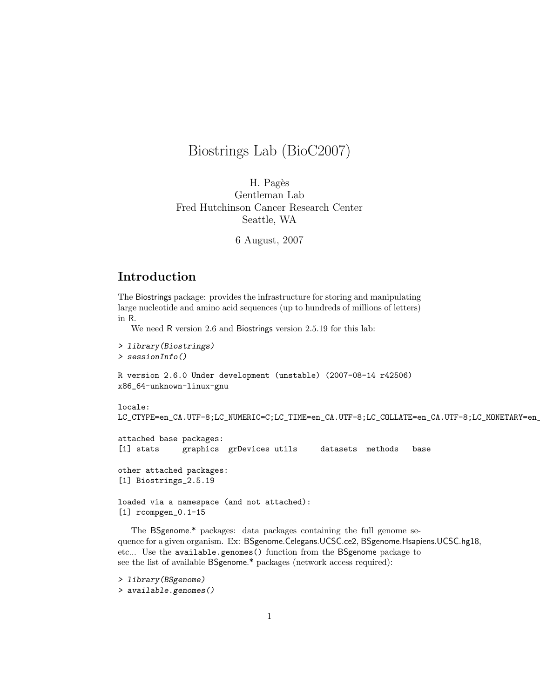# Biostrings Lab (BioC2007)

H. Pagès Gentleman Lab Fred Hutchinson Cancer Research Center Seattle, WA

6 August, 2007

## Introduction

The Biostrings package: provides the infrastructure for storing and manipulating large nucleotide and amino acid sequences (up to hundreds of millions of letters) in R.

We need R version 2.6 and Biostrings version 2.5.19 for this lab:

> library(Biostrings) > sessionInfo() R version 2.6.0 Under development (unstable) (2007-08-14 r42506)

```
x86_64-unknown-linux-gnu
```

```
locale:
LC_CTYPE=en_CA.UTF-8;LC_NUMERIC=C;LC_TIME=en_CA.UTF-8;LC_COLLATE=en_CA.UTF-8;LC_MONETARY=en_
```

```
attached base packages:
[1] stats graphics grDevices utils datasets methods base
other attached packages:
[1] Biostrings_2.5.19
```
loaded via a namespace (and not attached): [1] rcompgen\_0.1-15

The BSgenome.\* packages: data packages containing the full genome sequence for a given organism. Ex: BSgenome.Celegans.UCSC.ce2, BSgenome.Hsapiens.UCSC.hg18, etc... Use the available.genomes() function from the BSgenome package to see the list of available BSgenome.\* packages (network access required):

```
> library(BSgenome)
> available.genomes()
```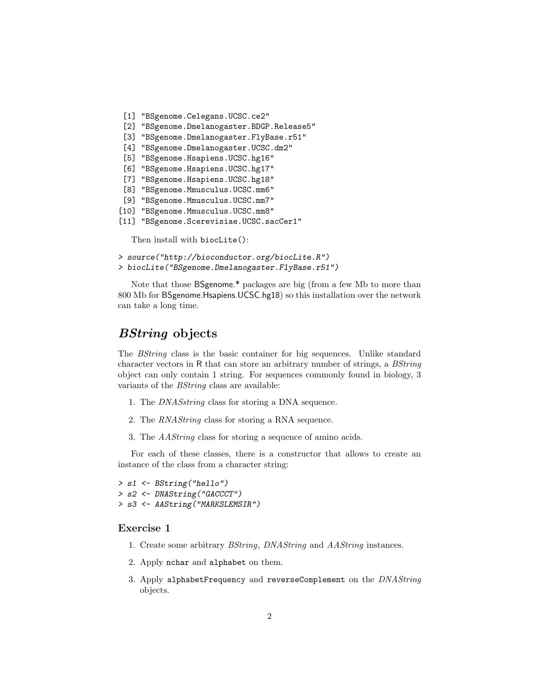```
[1] "BSgenome.Celegans.UCSC.ce2"
[2] "BSgenome.Dmelanogaster.BDGP.Release5"
[3] "BSgenome.Dmelanogaster.FlyBase.r51"
[4] "BSgenome.Dmelanogaster.UCSC.dm2"
[5] "BSgenome.Hsapiens.UCSC.hg16"
[6] "BSgenome.Hsapiens.UCSC.hg17"
[7] "BSgenome.Hsapiens.UCSC.hg18"
[8] "BSgenome.Mmusculus.UCSC.mm6"
[9] "BSgenome.Mmusculus.UCSC.mm7"
[10] "BSgenome.Mmusculus.UCSC.mm8"
[11] "BSgenome.Scerevisiae.UCSC.sacCer1"
```
Then install with biocLite():

```
> source("http://bioconductor.org/biocLite.R")
```

```
> biocLite("BSgenome.Dmelanogaster.FlyBase.r51")
```
Note that those BSgenome.\* packages are big (from a few Mb to more than 800 Mb for BSgenome.Hsapiens.UCSC.hg18) so this installation over the network can take a long time.

### BString objects

The BString class is the basic container for big sequences. Unlike standard character vectors in R that can store an arbitrary number of strings, a BString object can only contain 1 string. For sequences commonly found in biology, 3 variants of the BString class are available:

- 1. The DNASstring class for storing a DNA sequence.
- 2. The RNAString class for storing a RNA sequence.
- 3. The AAString class for storing a sequence of amino acids.

For each of these classes, there is a constructor that allows to create an instance of the class from a character string:

> s1 <- BString("hello") > s2 <- DNAString("GACCCT") > s3 <- AAString("MARKSLEMSIR")

### Exercise 1

- 1. Create some arbitrary BString, DNAString and AAString instances.
- 2. Apply nchar and alphabet on them.
- 3. Apply alphabetFrequency and reverseComplement on the DNAString objects.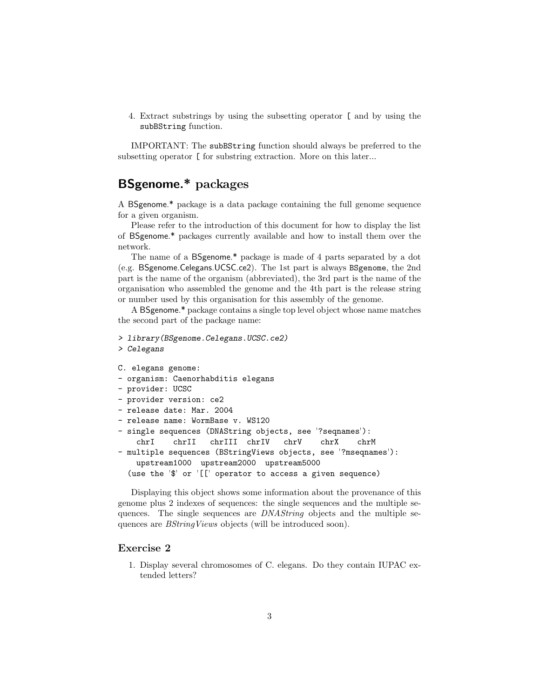4. Extract substrings by using the subsetting operator [ and by using the subBString function.

IMPORTANT: The subBString function should always be preferred to the subsetting operator [ for substring extraction. More on this later...

## BSgenome.\* packages

A BSgenome.\* package is a data package containing the full genome sequence for a given organism.

Please refer to the introduction of this document for how to display the list of BSgenome.\* packages currently available and how to install them over the network.

The name of a BSgenome.\* package is made of 4 parts separated by a dot (e.g. BSgenome.Celegans.UCSC.ce2). The 1st part is always BSgenome, the 2nd part is the name of the organism (abbreviated), the 3rd part is the name of the organisation who assembled the genome and the 4th part is the release string or number used by this organisation for this assembly of the genome.

A BSgenome.\* package contains a single top level object whose name matches the second part of the package name:

```
> library(BSgenome.Celegans.UCSC.ce2)
> Celegans
C. elegans genome:
- organism: Caenorhabditis elegans
- provider: UCSC
- provider version: ce2
- release date: Mar. 2004
- release name: WormBase v. WS120
- single sequences (DNAString objects, see '?seqnames'):
    chrI chrII chrIII chrIV chrV chrX chrM
- multiple sequences (BStringViews objects, see '?mseqnames'):
   upstream1000 upstream2000 upstream5000
```
(use the '\$' or '[[' operator to access a given sequence)

Displaying this object shows some information about the provenance of this genome plus 2 indexes of sequences: the single sequences and the multiple sequences. The single sequences are DNAString objects and the multiple sequences are *BStringViews* objects (will be introduced soon).

#### Exercise 2

1. Display several chromosomes of C. elegans. Do they contain IUPAC extended letters?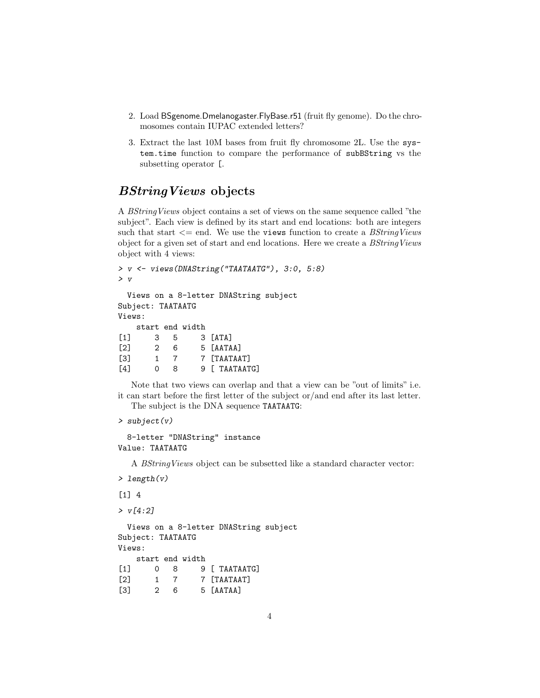- 2. Load BSgenome.Dmelanogaster.FlyBase.r51 (fruit fly genome). Do the chromosomes contain IUPAC extended letters?
- 3. Extract the last 10M bases from fruit fly chromosome 2L. Use the system.time function to compare the performance of subBString vs the subsetting operator [.

### BStringViews objects

A BStringViews object contains a set of views on the same sequence called "the subject". Each view is defined by its start and end locations: both are integers such that start  $\leq$  end. We use the views function to create a *BStringViews* object for a given set of start and end locations. Here we create a BStringViews object with 4 views:

```
> v <- views(DNAString("TAATAATG"), 3:0, 5:8)
> v
 Views on a 8-letter DNAString subject
Subject: TAATAATG
Views:
   start end width
[1] 3 5 3 [ATA][2] 2 6 5 [AATAA]
[3] 1 7 7 [TAATAAT]
[4] 0 8 9 [ TAATAATG]
```
Note that two views can overlap and that a view can be "out of limits" i.e. it can start before the first letter of the subject or/and end after its last letter. The subject is the DNA sequence TAATAATG:

```
> subject(v)
```

```
8-letter "DNAString" instance
Value: TAATAATG
```
A BStringViews object can be subsetted like a standard character vector:

```
> length(v)
```

```
[1] 4
```
 $> v[4:2]$ 

Views on a 8-letter DNAString subject Subject: TAATAATG Views: start end width

```
[1] 0 8 9 [ TAATAATG]
[2] 1 7 7 [TAATAAT]
[3] 2 6 5 [AATAA]
```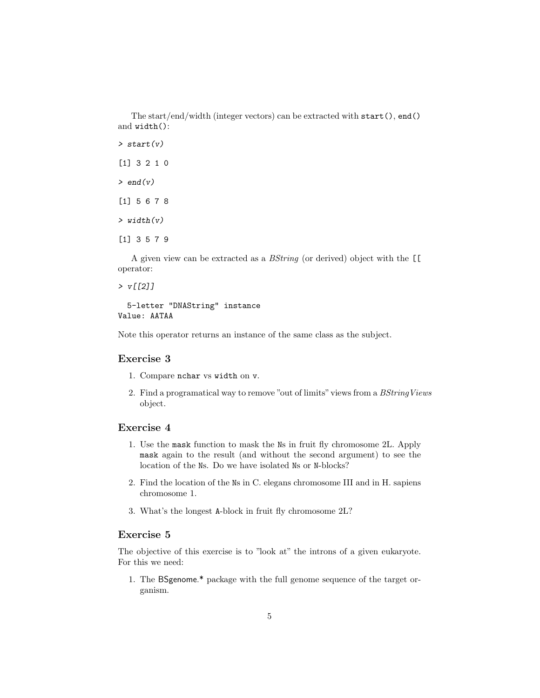The start/end/width (integer vectors) can be extracted with start(), end() and width():

 $> start(v)$ [1] 3 2 1 0  $>$  end(v) [1] 5 6 7 8  $> width(v)$ [1] 3 5 7 9

A given view can be extracted as a BString (or derived) object with the [[ operator:

 $> v[[2]]$ 

5-letter "DNAString" instance Value: AATAA

Note this operator returns an instance of the same class as the subject.

#### Exercise 3

- 1. Compare nchar vs width on v.
- 2. Find a programatical way to remove "out of limits" views from a  $BStringViews$ object.

#### Exercise 4

- 1. Use the mask function to mask the Ns in fruit fly chromosome 2L. Apply mask again to the result (and without the second argument) to see the location of the Ns. Do we have isolated Ns or N-blocks?
- 2. Find the location of the Ns in C. elegans chromosome III and in H. sapiens chromosome 1.
- 3. What's the longest A-block in fruit fly chromosome 2L?

#### Exercise 5

The objective of this exercise is to "look at" the introns of a given eukaryote. For this we need:

1. The BSgenome.\* package with the full genome sequence of the target organism.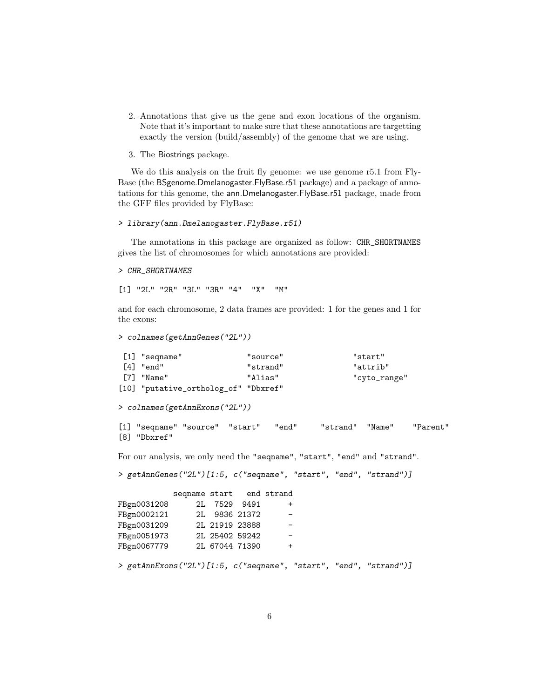- 2. Annotations that give us the gene and exon locations of the organism. Note that it's important to make sure that these annotations are targetting exactly the version (build/assembly) of the genome that we are using.
- 3. The Biostrings package.

We do this analysis on the fruit fly genome: we use genome r5.1 from Fly-Base (the BSgenome.Dmelanogaster.FlyBase.r51 package) and a package of annotations for this genome, the ann.Dmelanogaster.FlyBase.r51 package, made from the GFF files provided by FlyBase:

#### > library(ann.Dmelanogaster.FlyBase.r51)

The annotations in this package are organized as follow: CHR\_SHORTNAMES gives the list of chromosomes for which annotations are provided:

> CHR\_SHORTNAMES

[1] "2L" "2R" "3L" "3R" "4" "X" "M"

and for each chromosome, 2 data frames are provided: 1 for the genes and 1 for the exons:

```
> colnames(getAnnGenes("2L"))
```

| $\left[1\right]$ "segname"           | "source" | "start"      |
|--------------------------------------|----------|--------------|
| $\lceil 4 \rceil$ "end"              | "strand" | "attrib"     |
| [7] "Name"                           | "Alias"  | "cyto_range" |
| [10] "putative_ortholog_of" "Dbxref" |          |              |

> colnames(getAnnExons("2L"))

```
[1] "seqname" "source" "start" "end" "strand" "Name" "Parent"
[8] "Dbxref"
```
For our analysis, we only need the "seqname", "start", "end" and "strand".

```
> getAnnGenes("2L")[1:5, c("seqname", "start", "end", "strand")]
```

|                                                                  | seqname start end strand |                |               |           |  |  |
|------------------------------------------------------------------|--------------------------|----------------|---------------|-----------|--|--|
| FBgn0031208                                                      |                          | 2L 7529 9491   |               | $\ddot{}$ |  |  |
| FBgn0002121                                                      |                          |                | 2L 9836 21372 |           |  |  |
| FBgn0031209                                                      |                          | 2L 21919 23888 |               |           |  |  |
| FBgn0051973                                                      |                          | 2L 25402 59242 |               |           |  |  |
| FBgn0067779                                                      |                          | 2L 67044 71390 |               | $\ddot{}$ |  |  |
|                                                                  |                          |                |               |           |  |  |
| > getAnnExons("2L")[1:5, c("seqname", "start", "end", "strand")] |                          |                |               |           |  |  |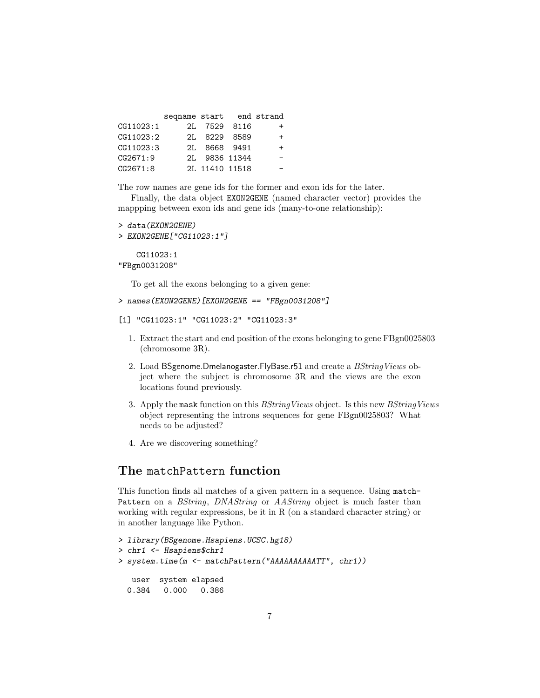|           | seqname start end strand |                |           |
|-----------|--------------------------|----------------|-----------|
| CG11023:1 |                          | 2L 7529 8116   | +         |
| CG11023:2 |                          | 2L 8229 8589   | $\ddot{}$ |
| CG11023:3 |                          | 2L 8668 9491   | +         |
| CG2671:9  |                          | 2L 9836 11344  |           |
| CG2671:8  |                          | 2L 11410 11518 |           |

The row names are gene ids for the former and exon ids for the later.

Finally, the data object EXON2GENE (named character vector) provides the mappping between exon ids and gene ids (many-to-one relationship):

```
> data(EXON2GENE)
```

```
> EXON2GENE["CG11023:1"]
```
CG11023:1 "FBgn0031208"

To get all the exons belonging to a given gene:

```
> names(EXON2GENE)[EXON2GENE == "FBgn0031208"]
```

```
[1] "CG11023:1" "CG11023:2" "CG11023:3"
```
- 1. Extract the start and end position of the exons belonging to gene FBgn0025803 (chromosome 3R).
- 2. Load BSgenome.Dmelanogaster.FlyBase.r51 and create a BStringViews object where the subject is chromosome 3R and the views are the exon locations found previously.
- 3. Apply the mask function on this BStringViews object. Is this new BStringViews object representing the introns sequences for gene FBgn0025803? What needs to be adjusted?
- 4. Are we discovering something?

## The matchPattern function

This function finds all matches of a given pattern in a sequence. Using match-Pattern on a BString, DNAString or AAString object is much faster than working with regular expressions, be it in R (on a standard character string) or in another language like Python.

```
> library(BSgenome.Hsapiens.UCSC.hg18)
> chr1 <- Hsapiens$chr1
> system.time(m <- matchPattern("AAAAAAAAAATT", chr1))
  user system elapsed
 0.384 0.000 0.386
```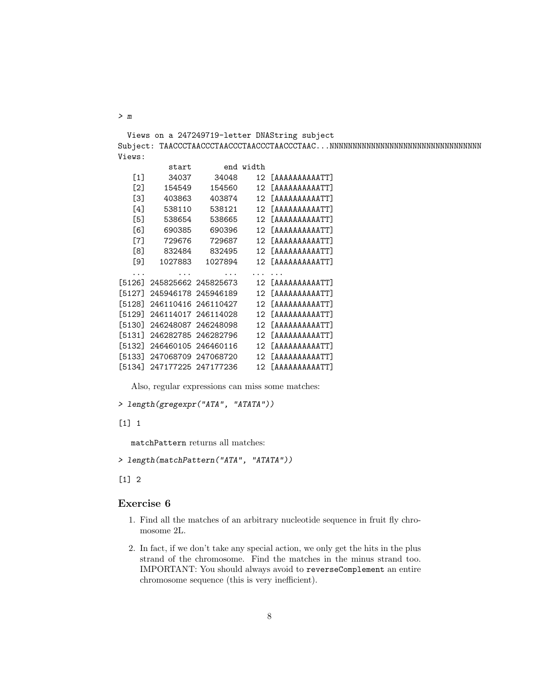Views on a 247249719-letter DNAString subject Subject: TAACCCTAACCCTAACCCTAACCCTAACCCTAAC...NNNNNNNNNNNNNNNNNNNNNNNNNNNNNNNNN Views:

|        | start               | end       | width           |                                    |
|--------|---------------------|-----------|-----------------|------------------------------------|
| [1]    | 34037               | 34048     | 12              | <b><i>FAAAAAAAAATT1</i></b>        |
| [2]    | 154549              | 154560    | 12              | <b><i><u>LAAAAAAAAATT1</u></i></b> |
| [3]    | 403863              | 403874    | 12              | <b><i><u>LAAAAAAAAATT1</u></i></b> |
| [4]    | 538110              | 538121    | 12              | <b><i><u>LAAAAAAAAATT1</u></i></b> |
| [5]    | 538654              | 538665    | 12              | <b><i><u>LAAAAAAAAATT1</u></i></b> |
| [6]    | 690385              | 690396    | 12 <sub>1</sub> | <b><i>FAAAAAAAAATT1</i></b>        |
| [7]    | 729676              | 729687    | 12 <sub>1</sub> | <b><i><u>LAAAAAAAAATT1</u></i></b> |
| [8]    | 832484              | 832495    | 12              | <b><i>FAAAAAAAAATT1</i></b>        |
| [9]    | 1027883             | 1027894   | 12              | [AAAAAAAAATT]                      |
|        |                     |           |                 |                                    |
| [5126] | 245825662 245825673 |           | 12              | <b><i>FAAAAAAAAATT1</i></b>        |
| [5127] | 245946178           | 245946189 | 12              | <b><i><u>LAAAAAAAAATT1</u></i></b> |
| [5128] | 246110416           | 246110427 | 12              | <b><i>FAAAAAAAAATT1</i></b>        |
| [5129] | 246114017           | 246114028 | 12              | <b><i><u>LAAAAAAAAATT1</u></i></b> |
| [5130] | 246248087           | 246248098 | 12 <sub>1</sub> | <b><i><u>LAAAAAAAAATT1</u></i></b> |
| [5131] | 246282785           | 246282796 | 12              | <b><i><u>LAAAAAAAAATT1</u></i></b> |
| [5132] | 246460105           | 246460116 | 12              | <b><i>FAAAAAAAAATT1</i></b>        |
| [5133] | 247068709           | 247068720 | 12              | [AAAAAAAAATT]                      |
| [5134] | 247177225 247177236 |           | 12              | $TAAAAAAAATT$                      |

Also, regular expressions can miss some matches:

```
> length(gregexpr("ATA", "ATATA"))
```
[1] 1

matchPattern returns all matches:

```
> length(matchPattern("ATA", "ATATA"))
```
[1] 2

#### Exercise 6

- 1. Find all the matches of an arbitrary nucleotide sequence in fruit fly chromosome 2L.
- 2. In fact, if we don't take any special action, we only get the hits in the plus strand of the chromosome. Find the matches in the minus strand too. IMPORTANT: You should always avoid to reverseComplement an entire chromosome sequence (this is very inefficient).

> m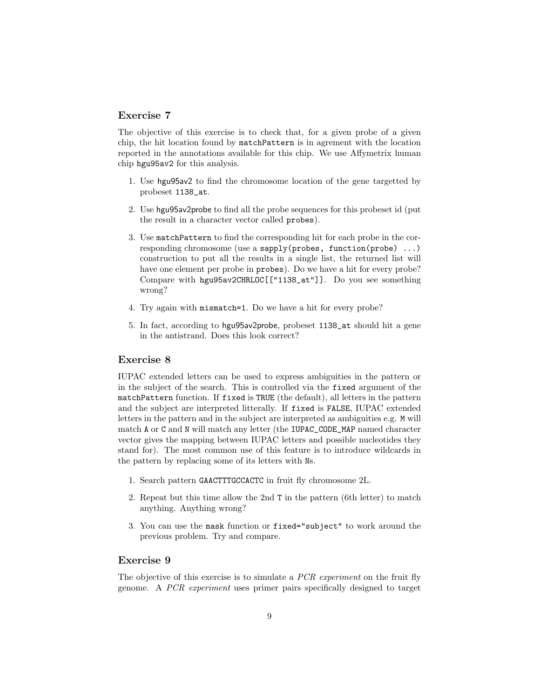#### Exercise 7

The objective of this exercise is to check that, for a given probe of a given chip, the hit location found by matchPattern is in agrement with the location reported in the annotations available for this chip. We use Affymetrix human chip hgu95av2 for this analysis.

- 1. Use hgu95av2 to find the chromosome location of the gene targetted by probeset 1138\_at.
- 2. Use hgu95av2probe to find all the probe sequences for this probeset id (put the result in a character vector called probes).
- 3. Use matchPattern to find the corresponding hit for each probe in the corresponding chromosome (use a sapply(probes, function(probe) ...) construction to put all the results in a single list, the returned list will have one element per probe in probes). Do we have a hit for every probe? Compare with hgu95av2CHRLOC[["1138\_at"]]. Do you see something wrong?
- 4. Try again with mismatch=1. Do we have a hit for every probe?
- 5. In fact, according to hgu95av2probe, probeset 1138\_at should hit a gene in the antistrand. Does this look correct?

#### Exercise 8

IUPAC extended letters can be used to express ambiguities in the pattern or in the subject of the search. This is controlled via the fixed argument of the matchPattern function. If fixed is TRUE (the default), all letters in the pattern and the subject are interpreted litterally. If fixed is FALSE, IUPAC extended letters in the pattern and in the subject are interpreted as ambiguities e.g. M will match A or C and N will match any letter (the IUPAC\_CODE\_MAP named character vector gives the mapping between IUPAC letters and possible nucleotides they stand for). The most common use of this feature is to introduce wildcards in the pattern by replacing some of its letters with Ns.

- 1. Search pattern GAACTTTGCCACTC in fruit fly chromosome 2L.
- 2. Repeat but this time allow the 2nd T in the pattern (6th letter) to match anything. Anything wrong?
- 3. You can use the mask function or fixed="subject" to work around the previous problem. Try and compare.

#### Exercise 9

The objective of this exercise is to simulate a *PCR experiment* on the fruit fly genome. A PCR experiment uses primer pairs specifically designed to target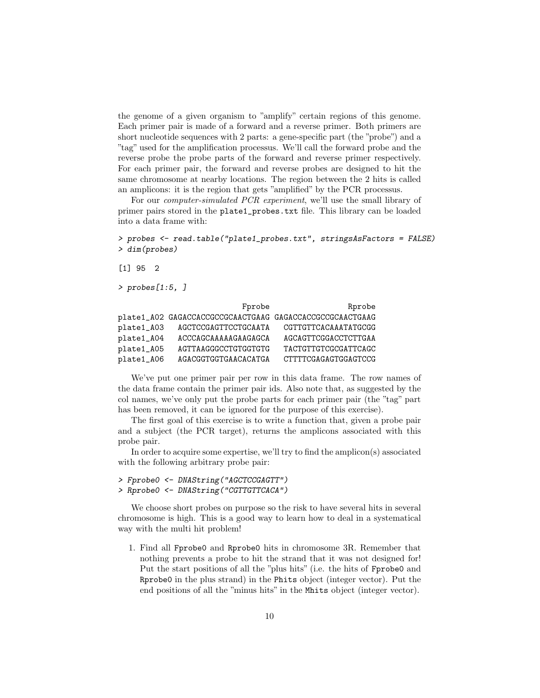the genome of a given organism to "amplify" certain regions of this genome. Each primer pair is made of a forward and a reverse primer. Both primers are short nucleotide sequences with 2 parts: a gene-specific part (the "probe") and a "tag" used for the amplification processus. We'll call the forward probe and the reverse probe the probe parts of the forward and reverse primer respectively. For each primer pair, the forward and reverse probes are designed to hit the same chromosome at nearby locations. The region between the 2 hits is called an amplicons: it is the region that gets "amplified" by the PCR processus.

For our computer-simulated PCR experiment, we'll use the small library of primer pairs stored in the plate1\_probes.txt file. This library can be loaded into a data frame with:

```
> probes <- read.table("plate1_probes.txt", stringsAsFactors = FALSE)
> dim(probes)
```
[1] 95 2

```
> probes[1:5, ]
```

|            | Fprobe                                                   | Rprobe               |
|------------|----------------------------------------------------------|----------------------|
|            | plate1_A02 GAGACCACCGCCGCAACTGAAG GAGACCACCGCCGCAACTGAAG |                      |
| plate1_A03 | AGCTCCGAGTTCCTGCAATA                                     | CGTTGTTCACAAATATGCGG |
| plate1_A04 | ACCCAGCAAAAAGAAGAGCA                                     | AGCAGTTCGGACCTCTTGAA |
| plate1_A05 | AGTTAAGGGCCTGTGGTGTG                                     | TACTGTTGTCGCGATTCAGC |
| plate1_A06 | AGACGGTGGTGAACACATGA                                     | CTTTTCGAGAGTGGAGTCCG |

We've put one primer pair per row in this data frame. The row names of the data frame contain the primer pair ids. Also note that, as suggested by the col names, we've only put the probe parts for each primer pair (the "tag" part has been removed, it can be ignored for the purpose of this exercise).

The first goal of this exercise is to write a function that, given a probe pair and a subject (the PCR target), returns the amplicons associated with this probe pair.

In order to acquire some expertise, we'll try to find the amplicon(s) associated with the following arbitrary probe pair:

```
> Fprobe0 <- DNAString("AGCTCCGAGTT")
> Rprobe0 <- DNAString("CGTTGTTCACA")
```
We choose short probes on purpose so the risk to have several hits in several chromosome is high. This is a good way to learn how to deal in a systematical way with the multi hit problem!

1. Find all Fprobe0 and Rprobe0 hits in chromosome 3R. Remember that nothing prevents a probe to hit the strand that it was not designed for! Put the start positions of all the "plus hits" (i.e. the hits of Fprobe0 and Rprobe0 in the plus strand) in the Phits object (integer vector). Put the end positions of all the "minus hits" in the Mhits object (integer vector).